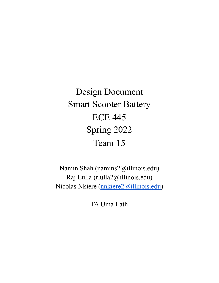Design Document Smart Scooter Battery ECE 445 Spring 2022 Team 15

Namin Shah (namins2@illinois.edu) Raj Lulla (rlulla2@illinois.edu) Nicolas Nkiere (*nnkiere2@illinois.edu*)

TA Uma Lath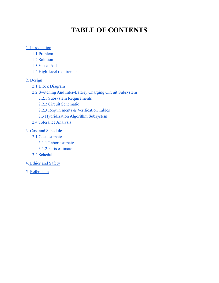## **TABLE OF CONTENTS**

#### [1. Introduction](#page-2-0)

- [1.1 Problem](#page-2-1)
- [1.2 Solution](#page-2-2)
- [1.3 Visual Aid](#page-4-0)
- [1.4 High-level requirements](#page-4-1)

#### [2. Design](#page-5-0)

- [2.1 Block Diagram](#page-5-1)
- [2.2 Switching And Inter-Battery Charging Circuit Subsystem](#page-5-2)
	- [2.2.1 Subsystem Requirements](#page-5-3)
	- [2.2.2 Circuit Schematic](#page-6-0)
	- [2.2.3 Requirements & Verification Tables](#page-7-0)
	- [2.3 Hybridization Algorithm Subsystem](#page-7-1)
- [2.4 Tolerance Analysis](#page-8-0)

#### [3. Cost and Schedule](#page-9-0)

- [3.1 Cost estimate](#page-9-1)
	- [3.1.1 Labor estimate](#page-9-2)
	- [3.1.2 Parts estimate](#page-9-3)
- [3.2 Schedule](#page-9-4)
- 4. [Ethics and Safety](#page-11-0)
- 5. [References](#page-12-0)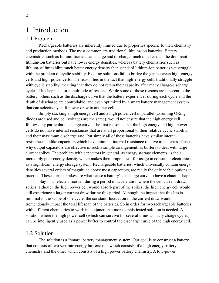## <span id="page-2-0"></span>1. Introduction

#### <span id="page-2-1"></span>1.1 Problem

Rechargeable batteries are inherently limited due to properties specific to their chemistry and production methods. The most common are traditional lithium-ion batteries. Battery chemistries such as lithium-titanate can charge and discharge much quicker than the dominant lithium-ion batteries but have lower energy densities, whereas battery chemistries such as lithium-sulfur exhibit much better energy density than standard lithium-ion batteries yet struggle with the problem of cyclic stability. Existing solutions fail to bridge the gap between high-energy cells and high-power cells. The reason lies in the fact that high-energy cells traditionally struggle with cyclic stability, meaning that they do not retain their capacity after many charge/discharge cycles. This happens for a multitude of reasons. While some of those reasons are inherent to the battery, others such as the discharge curve that the battery experiences during each cycle and the depth of discharge are controllable, and even optimized by a smart battery management system that can selectively shift power draw to another cell.

Simply stacking a high energy cell and a high power cell in parallel (assuming ORing diodes are used and cell voltages are the same), would not ensure that the high energy cell follows any particular discharge curve. The first reason is that the high energy and high power cells do not have internal resistances that are at all proportional to their relative cyclic stability, and their maximum discharge rate. Put simply all of these batteries have similar internal resistances, unlike capacitors which have minimal internal resistance relative to batteries. This is why output capacitors are effective in such a simple arrangement, as buffers to deal with large current spikes. The problem with capacitors in general, as energy storage elements, is their incredibly poor energy density which makes them impractical for usage in consumer electronics as a significant energy storage system. Rechargeable batteries, which universally contain energy densities several orders of magnitude above most capacitors, are really the only viable options in practice. These current spikes are what cause a battery's discharge curve to have a chaotic shape.

Say in an electric scooter, during a period of acceleration where the cell current draws spikes, although the high power cell would absorb part of the spikes, the high energy cell would still experience a larger current draw during this period. Although the impact that this has is minimal in the scope of one cycle, the constant fluctuation in the current draw would tremendously impact the total lifespan of the batteries. So in order for two rechargeable batteries with different chemistries to work in conjunction a more sophisticated solution is needed. A solution where the high power cell (which can survive for several times as many charge cycles) can be intelligently used as a power buffer to control the discharge curve of the high energy cell.

#### <span id="page-2-2"></span>1.2 Solution

The solution is a "smart" battery management system. Our goal is to construct a battery that consists of two separate energy buffers: one which consists of a high energy battery chemistry and the other which consists of a high power battery chemistry. A low-power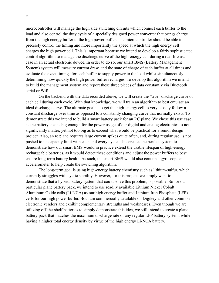microcontroller will manage the high side switching circuits which connect each buffer to the load and also control the duty cycle of a specially designed power converter that brings charge from the high energy buffer to the high power buffer. The microcontroller should be able to precisely control the timing and more importantly the speed at which the high energy cell charges the high power cell. This is important because we intend to develop a fairly sophisticated control algorithm to manage the discharge curve of the high-energy cell during a real-life use case in an actual electronic device. In order to do so, our smart BMS (Battery Management System) system will measure current draw, and the state of charge of each buffer at all times and evaluate the exact timings for each buffer to supply power to the load whilst simultaneously determining how quickly the high power buffer recharges. To develop this algorithm we intend to build the management system and report these three pieces of data constantly via Bluetooth serial or Wifi.

On the backend with the data recorded above, we will create the "true" discharge curve of each cell during each cycle. With that knowledge, we will train an algorithm to best emulate an ideal discharge curve. The ultimate goal is to get the high-energy cell to very closely follow a constant discharge over time as opposed to a constantly changing curve that normally exists. To demonstrate this we intend to build a smart battery pack for an RC plane. We chose this use case as the battery size is big enough for the power usage of our digital and analog electronics to not significantly matter, yet not too big as to exceed what would be practical for a senior design project. Also, an rc plane requires large current spikes quite often, and, during regular use, is not pushed to its capacity limit with each and every cycle. This creates the perfect system to demonstrate how our smart BMS would in practice extend the usable lifespan of high-energy rechargeable batteries, as it would detect these conditions and adjust the power buffers to best ensure long-term battery health. As such, the smart BMS would also contain a gyroscope and accelerometer to help create the switching algorithm.

The long-term goal is using high-energy battery chemistry such as lithium-sulfur, which currently struggles with cyclic stability. However, for this project, we simply want to demonstrate that a hybrid battery system that could solve this problem, is possible. So for our particular plane battery pack, we intend to use readily available Lithium Nickel Cobalt Aluminum Oxide cells (Li-NCA) as our high energy buffer and Lithium Iron Phosphate (LFP) cells for our high power buffer. Both are commercially available on Digikey and other common electronic vendors and exhibit complementary strengths and weaknesses. Even though we are utilizing off-the-shelf batteries to simply demonstrate this idea, we still intend to create a plane battery pack that matches the maximum discharge rate of any regular LFP battery system, while having a higher total energy density by virtue of the high energy Li-NCA battery.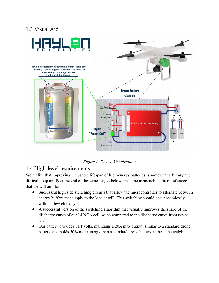## 1.3 Visual Aid

<span id="page-4-0"></span>

*Figure 1: Device Visualization*

## <span id="page-4-1"></span>1.4 High-level requirements

We realize that improving the usable lifespan of high-energy batteries is somewhat arbitrary and difficult to quantify at the end of the semester, so below are some measurable criteria of success that we will aim for.

- Successful high side switching circuits that allow the microcontroller to alternate between energy buffers that supply to the load at will. This switching should occur seamlessly, within a few clock cycles.
- A successful version of the switching algorithm that visually improves the shape of the discharge curve of our Li-NCA cell, when compared to the discharge curve from typical use
- Our battery provides 11.1 volts, maintains a 20A max output, similar to a standard drone battery, and holds 50% more energy than a standard drone battery at the same weight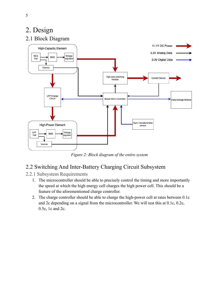# <span id="page-5-0"></span>2. Design

## <span id="page-5-1"></span>2.1 Block Diagram



*Figure 2: Block diagram of the entire system*

## <span id="page-5-2"></span>2.2 Switching And Inter-Battery Charging Circuit Subsystem

#### <span id="page-5-3"></span>2.2.1 Subsystem Requirements

- 1. The microcontroller should be able to precisely control the timing and more importantly the speed at which the high energy cell charges the high power cell. This should be a feature of the aforementioned charge controller.
- 2. The charge controller should be able to charge the high-power cell at rates between 0.1c and 2c depending on a signal from the microcontroller. We will test this at 0.1c, 0.2c, 0.5c, 1c and 2c.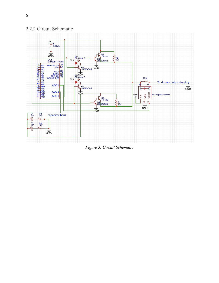

 $\frac{1}{\sin D}$ 

### <span id="page-6-0"></span>2.2.2 Circuit Schematic

*Figure 3: Circuit Schematic*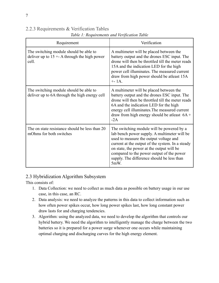<span id="page-7-0"></span>

| 2.2.3 Requirements & Verification Tables |  |  |  |  |  |  |  |  |  |
|------------------------------------------|--|--|--|--|--|--|--|--|--|
|------------------------------------------|--|--|--|--|--|--|--|--|--|

| Requirement                                                                                      | Verification                                                                                                                                                                                                                                                                                                                               |
|--------------------------------------------------------------------------------------------------|--------------------------------------------------------------------------------------------------------------------------------------------------------------------------------------------------------------------------------------------------------------------------------------------------------------------------------------------|
| The switching module should be able to<br>deliver up to $15 + A$ through the high power<br>cell. | A multimeter will be placed between the<br>battery output and the drones ESC input. The<br>drone will then be throttled till the meter reads<br>15A and the indication LED for the high<br>power cell illuminates. The measured current<br>draw from high power should be atleast 15A<br>$+ - 1A$ .                                        |
| The switching module should be able to<br>deliver up to 6A through the high energy cell          | A multimeter will be placed between the<br>battery output and the drones ESC input. The<br>drone will then be throttled till the meter reads<br>6A and the indication LED for the high<br>energy cell illuminates. The measured current<br>draw from high energy should be atleast $6A +$<br>$-2A$                                         |
| The on state resistance should be less than 20<br>mOhms for both switches                        | The switching module will be powered by a<br>lab bench power supply. A multimeter will be<br>used to measure the output voltage and<br>current at the output of the system. In a steady<br>on state, the power at the output will be<br>compared to the power output of the power<br>supply. The difference should be less than<br>$5mW$ . |

*Table 1: Requirements and Verification Table*

#### <span id="page-7-1"></span>2.3 Hybridization Algorithm Subsystem

This consists of:

- 1. Data Collection: we need to collect as much data as possible on battery usage in our use case, in this case, an RC.
- 2. Data analysis: we need to analyze the patterns in this data to collect information such as how often power spikes occur, how long power spikes last, how long constant power draw lasts for and charging tendencies.
- 3. Algorithm: using the analyzed data, we need to develop the algorithm that controls our hybrid battery. We need the algorithm to intelligently manage the charge between the two batteries so it is prepared for a power surge whenever one occurs while maintaining optimal charging and discharging curves for the high energy element.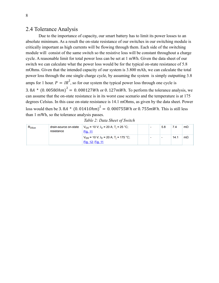#### <span id="page-8-0"></span>2.4 Tolerance Analysis

Due to the importance of capacity, our smart battery has to limit its power losses to an absolute minimum. As a result the on-state resistance of our switches in our switching module is critically important as high currents will be flowing through them. Each side of the switching module will consist of the same switch so the resistive loss will be constant throughout a charge cycle. A reasonable limit for total power loss can be set at 1 mWh. Given the data sheet of our switch we can calculate what the power loss would be for the typical on-state resistance of 5.8 mOhms. Given that the intended capacity of our system is 3.800 mAh, we can calculate the total power loss through the one single charge cycle, by assuming the system is simply outputting 3.8 amps for 1 hour.  $P = IR^2$ , so for our system the typical power loss through one cycle is 3. 8A  $*$  (0. 00580hm)<sup>2</sup> = 0. 000127Wh or 0. 127mWh. To perform the tolerance analysis, we can assume that the on-state resistance is in its worst case scenario and the temperature is at 175 degrees Celsius. In this case on-state resistance is 14.1 mOhms, as given by the data sheet. Power loss would then be 3. 8A \*  $(0.01410hm)^2 = 0.000755Wh$  or 0.755mWh. This is still less than 1 mWh, so the tolerance analysis passes.

|  |  |  |  |  |  | Table 2: Data Sheet of Switch |
|--|--|--|--|--|--|-------------------------------|
|--|--|--|--|--|--|-------------------------------|

| $R_{DSon}$ | drain-source on-state<br>resistance | $V_{GS}$ = 10 V; $I_D$ = 20 A; T <sub>i</sub> = 25 °C;<br>Fig. 11           |  | 5.8 | 7.4  | $m\Omega$ |
|------------|-------------------------------------|-----------------------------------------------------------------------------|--|-----|------|-----------|
|            |                                     | $V_{GS}$ = 10 V; $I_D$ = 20 A; T <sub>i</sub> = 175 °C;<br>Fig. 12; Fig. 11 |  | -   | 14.1 | $m\Omega$ |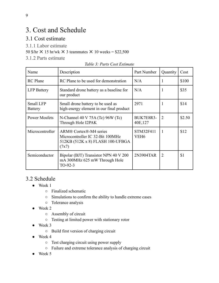# <span id="page-9-0"></span>3. Cost and Schedule

## <span id="page-9-1"></span>3.1 Cost estimate

<span id="page-9-2"></span>3.1.1 Labor estimate

50 \$/hr  $\times$  15 hr/wk  $\times$  3 teammates  $\times$  10 weeks = \$22,500

<span id="page-9-3"></span>3.1.2 Parts estimate

| Name                        | Description                                                                                             | Part Number                          | Quantity       | Cost   |
|-----------------------------|---------------------------------------------------------------------------------------------------------|--------------------------------------|----------------|--------|
| <b>RC</b> Plane             | RC Plane to be used for demonstration                                                                   | N/A                                  | ı              | \$100  |
| <b>LFP Battery</b>          | Standard drone battery as a baseline for<br>our product                                                 | N/A                                  |                | \$35   |
| Small LFP<br><b>Battery</b> | Small drone battery to be used as<br>high-energy element in our final product                           | 2971                                 |                | \$14   |
| <b>Power Mosfets</b>        | N-Channel 40 V 75A (Tc) $96W$ (Tc)<br>Through Hole I2PAK                                                | BUK7E8R3-<br>40E, 127                | 2              | \$2.50 |
| Microcontroller             | ARM® Cortex®-M4 series<br>Microcontroller IC 32-Bit 100MHz<br>512KB (512K x 8) FLASH 100-UFBGA<br>(7x7) | <b>STM32F411</b><br>VEH <sub>6</sub> | 1              | \$12   |
| Semiconductor               | Bipolar (BJT) Transistor NPN 40 V 200<br>mA 300MHz 625 mW Through Hole<br>$TO-92-3$                     | 2N3904TAR                            | $\overline{2}$ | \$1    |

## <span id="page-9-4"></span>3.2 Schedule

- Week 1
	- Finalized schematic
	- Simulations to confirm the ability to handle extreme cases
	- Tolerance analysis
- Week 2
	- Assembly of circuit
	- Testing at limited power with stationary rotor
- Week 3
	- Build first version of charging circuit
- Week 4
	- Test charging circuit using power supply
	- Failure and extreme tolerance analysis of charging circuit
- Week 5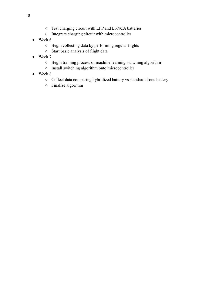- Test charging circuit with LFP and Li-NCA batteries
- Integrate charging circuit with microcontroller
- $\bullet$  Week 6
	- Begin collecting data by performing regular flights
	- Start basic analysis of flight data
- Week 7
	- Begin training process of machine learning switching algorithm
	- Install switching algorithm onto microcontroller
- Week 8
	- Collect data comparing hybridized battery vs standard drone battery
	- Finalize algorithm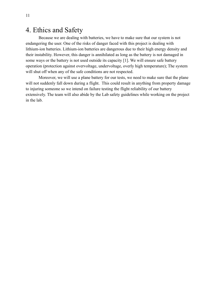## <span id="page-11-0"></span>4. Ethics and Safety

Because we are dealing with batteries, we have to make sure that our system is not endangering the user. One of the risks of danger faced with this project is dealing with lithium-ion batteries. Lithium-ion batteries are dangerous due to their high energy density and their instability. However, this danger is annihilated as long as the battery is not damaged in some ways or the battery is not used outside its capacity [1]. We will ensure safe battery operation (protection against overvoltage, undervoltage, overly high temperature); The system will shut off when any of the safe conditions are not respected.

Moreover, we will use a plane battery for our tests, we need to make sure that the plane will not suddenly fall down during a flight. This could result in anything from property damage to injuring someone so we intend on failure testing the flight reliability of our battery extensively. The team will also abide by the Lab safety guidelines while working on the project in the lab.